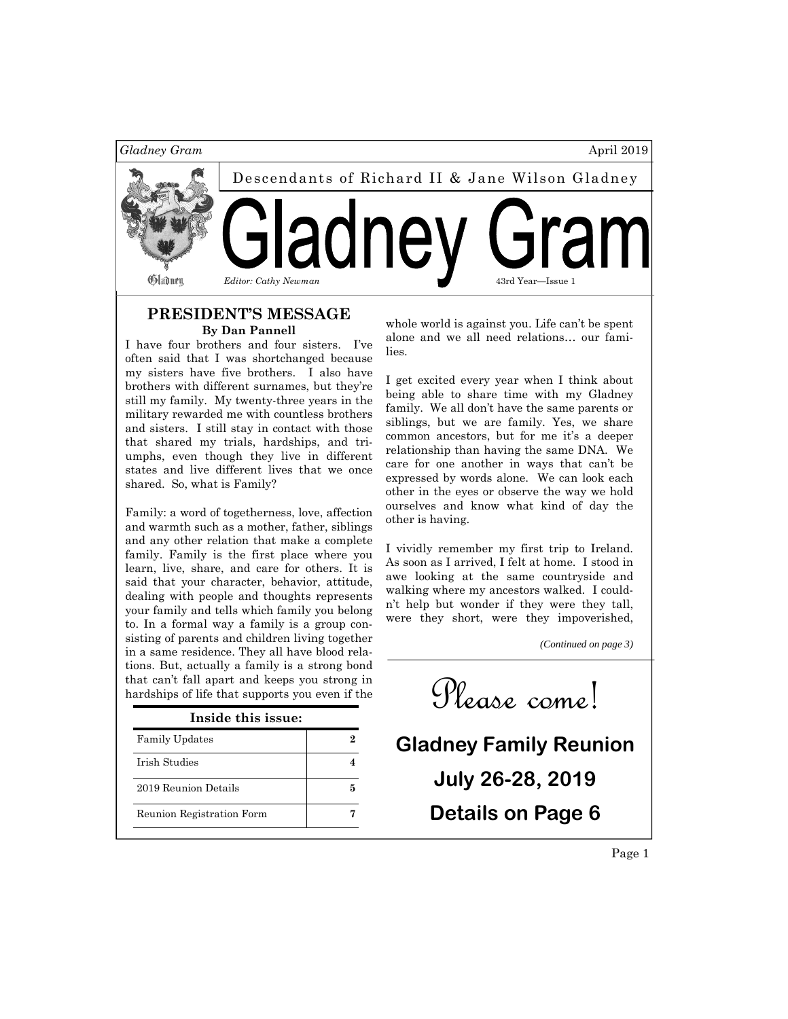

#### **PRESIDENT'S MESSAGE By Dan Pannell**

I have four brothers and four sisters. I've often said that I was shortchanged because my sisters have five brothers. I also have brothers with different surnames, but they're still my family. My twenty-three years in the military rewarded me with countless brothers and sisters. I still stay in contact with those that shared my trials, hardships, and triumphs, even though they live in different states and live different lives that we once shared. So, what is Family?

Family: a word of togetherness, love, affection and warmth such as a mother, father, siblings and any other relation that make a complete family. Family is the first place where you learn, live, share, and care for others. It is said that your character, behavior, attitude, dealing with people and thoughts represents your family and tells which family you belong to. In a formal way a family is a group consisting of parents and children living together in a same residence. They all have blood relations. But, actually a family is a strong bond that can't fall apart and keeps you strong in

| Inside this issue:        |  |
|---------------------------|--|
| <b>Family Updates</b>     |  |
| Irish Studies             |  |
| 2019 Reunion Details      |  |
| Reunion Registration Form |  |

whole world is against you. Life can't be spent alone and we all need relations… our families.

I get excited every year when I think about being able to share time with my Gladney family. We all don't have the same parents or siblings, but we are family. Yes, we share common ancestors, but for me it's a deeper relationship than having the same DNA. We care for one another in ways that can't be expressed by words alone. We can look each other in the eyes or observe the way we hold ourselves and know what kind of day the other is having.

I vividly remember my first trip to Ireland. As soon as I arrived, I felt at home. I stood in awe looking at the same countryside and walking where my ancestors walked. I couldn't help but wonder if they were they tall, were they short, were they impoverished,

*(Continued on page 3)* 

that can't fail apart and keeps you strong in  $\mathcal{C}$  come!

**Gladney Family Reunion July 26-28, 2019 Details on Page 6** 

Page 1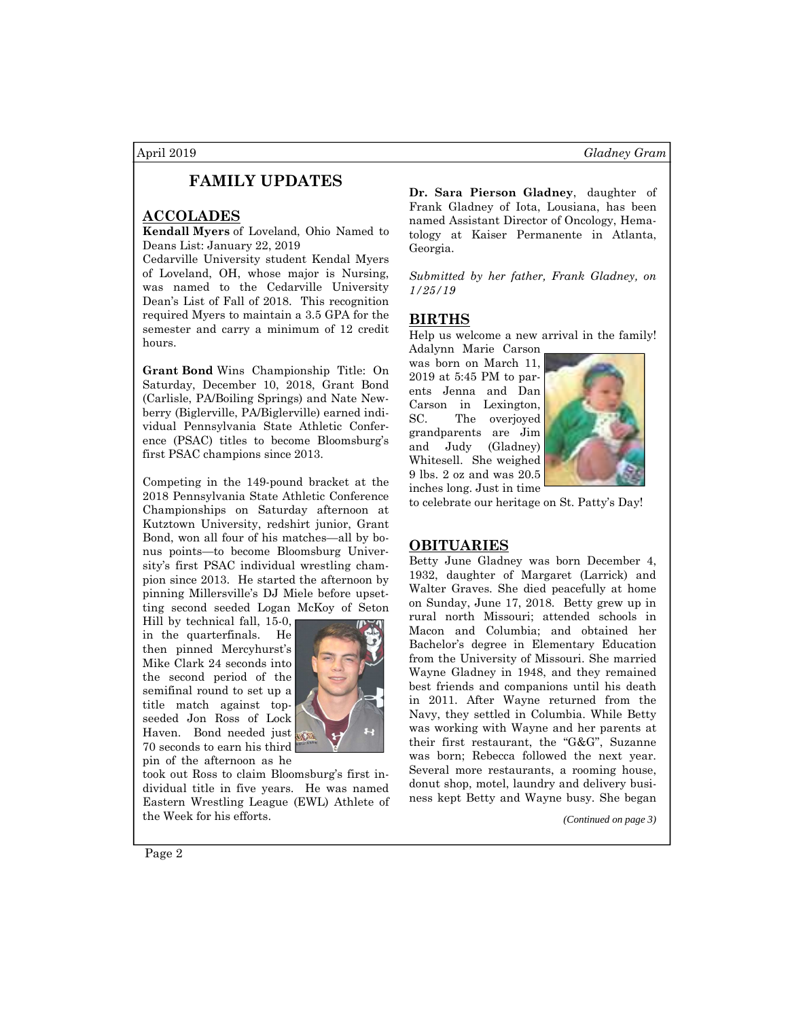# **FAMILY UPDATES**

### **ACCOLADES**

**Kendall Myers** of Loveland, Ohio Named to Deans List: January 22, 2019

Cedarville University student Kendal Myers of Loveland, OH, whose major is Nursing, was named to the Cedarville University Dean's List of Fall of 2018. This recognition required Myers to maintain a 3.5 GPA for the semester and carry a minimum of 12 credit hours.

**Grant Bond** Wins Championship Title: On Saturday, December 10, 2018, Grant Bond (Carlisle, PA/Boiling Springs) and Nate Newberry (Biglerville, PA/Biglerville) earned individual Pennsylvania State Athletic Conference (PSAC) titles to become Bloomsburg's first PSAC champions since 2013.

Competing in the 149-pound bracket at the 2018 Pennsylvania State Athletic Conference Championships on Saturday afternoon at Kutztown University, redshirt junior, Grant Bond, won all four of his matches—all by bonus points—to become Bloomsburg University's first PSAC individual wrestling champion since 2013. He started the afternoon by pinning Millersville's DJ Miele before upsetting second seeded Logan McKoy of Seton

Hill by technical fall, 15-0, in the quarterfinals. He then pinned Mercyhurst's Mike Clark 24 seconds into the second period of the semifinal round to set up a title match against topseeded Jon Ross of Lock Haven. Bond needed just 70 seconds to earn his third pin of the afternoon as he



took out Ross to claim Bloomsburg's first individual title in five years. He was named Eastern Wrestling League (EWL) Athlete of the Week for his efforts.

**Dr. Sara Pierson Gladney**, daughter of Frank Gladney of Iota, Lousiana, has been named Assistant Director of Oncology, Hematology at Kaiser Permanente in Atlanta, Georgia.

*Submitted by her father, Frank Gladney, on 1/25/19* 

#### **BIRTHS**

Help us welcome a new arrival in the family!

Adalynn Marie Carson was born on March 11, 2019 at 5:45 PM to parents Jenna and Dan Carson in Lexington, SC. The overjoyed grandparents are Jim and Judy (Gladney) Whitesell. She weighed 9 lbs. 2 oz and was 20.5 inches long. Just in time



to celebrate our heritage on St. Patty's Day!

### **OBITUARIES**

Betty June Gladney was born December 4, 1932, daughter of Margaret (Larrick) and Walter Graves. She died peacefully at home on Sunday, June 17, 2018. Betty grew up in rural north Missouri; attended schools in Macon and Columbia; and obtained her Bachelor's degree in Elementary Education from the University of Missouri. She married Wayne Gladney in 1948, and they remained best friends and companions until his death in 2011. After Wayne returned from the Navy, they settled in Columbia. While Betty was working with Wayne and her parents at their first restaurant, the "G&G", Suzanne was born; Rebecca followed the next year. Several more restaurants, a rooming house, donut shop, motel, laundry and delivery business kept Betty and Wayne busy. She began

*(Continued on page 3)* 

Page 2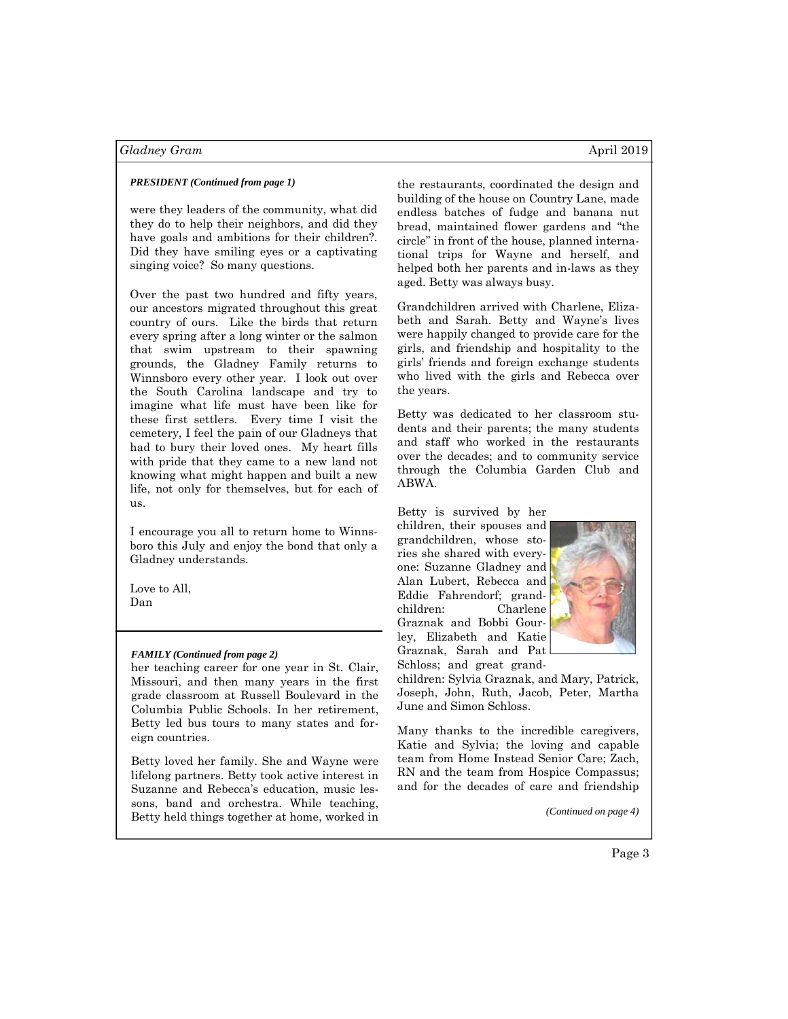#### *Gladney Gram* April 2019

#### *PRESIDENT (Continued from page 1)*

were they leaders of the community, what did they do to help their neighbors, and did they have goals and ambitions for their children?. Did they have smiling eyes or a captivating singing voice? So many questions.

Over the past two hundred and fifty years, our ancestors migrated throughout this great country of ours. Like the birds that return every spring after a long winter or the salmon that swim upstream to their spawning grounds, the Gladney Family returns to Winnsboro every other year. I look out over the South Carolina landscape and try to imagine what life must have been like for these first settlers. Every time I visit the cemetery, I feel the pain of our Gladneys that had to bury their loved ones. My heart fills with pride that they came to a new land not knowing what might happen and built a new life, not only for themselves, but for each of  $\overline{118}$ .

I encourage you all to return home to Winnsboro this July and enjoy the bond that only a Gladney understands.

Love to All, Dan

#### *FAMILY (Continued from page 2)*

her teaching career for one year in St. Clair, Missouri, and then many years in the first grade classroom at Russell Boulevard in the Columbia Public Schools. In her retirement, Betty led bus tours to many states and foreign countries.

Betty loved her family. She and Wayne were lifelong partners. Betty took active interest in Suzanne and Rebecca's education, music lessons, band and orchestra. While teaching, Betty held things together at home, worked in the restaurants, coordinated the design and building of the house on Country Lane, made endless batches of fudge and banana nut bread, maintained flower gardens and "the circle" in front of the house, planned international trips for Wayne and herself, and helped both her parents and in-laws as they aged. Betty was always busy.

Grandchildren arrived with Charlene, Elizabeth and Sarah. Betty and Wayne's lives were happily changed to provide care for the girls, and friendship and hospitality to the girls' friends and foreign exchange students who lived with the girls and Rebecca over the years.

Betty was dedicated to her classroom students and their parents; the many students and staff who worked in the restaurants over the decades; and to community service through the Columbia Garden Club and ABWA.

Betty is survived by her children, their spouses and grandchildren, whose stories she shared with everyone: Suzanne Gladney and Alan Lubert, Rebecca and Eddie Fahrendorf; grandchildren: Charlene Graznak and Bobbi Gourley, Elizabeth and Katie Graznak, Sarah and Pat Schloss; and great grand-



children: Sylvia Graznak, and Mary, Patrick, Joseph, John, Ruth, Jacob, Peter, Martha June and Simon Schloss.

Many thanks to the incredible caregivers, Katie and Sylvia; the loving and capable team from Home Instead Senior Care; Zach, RN and the team from Hospice Compassus; and for the decades of care and friendship

*(Continued on page 4)*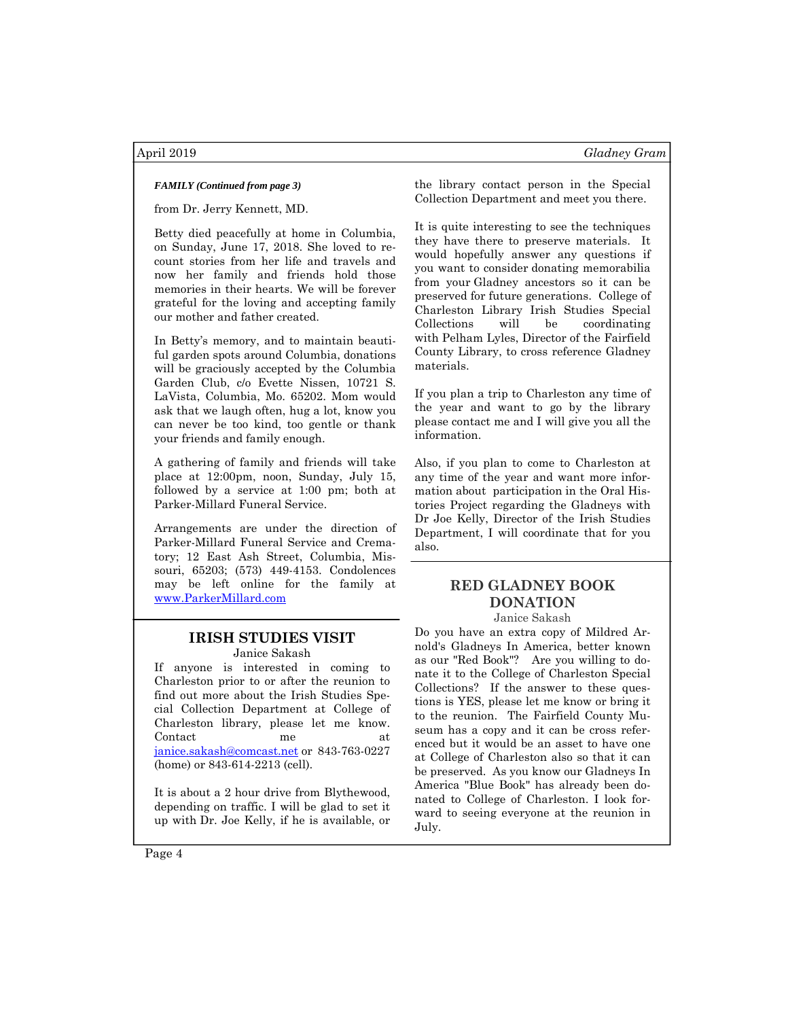from Dr. Jerry Kennett, MD.

Betty died peacefully at home in Columbia, on Sunday, June 17, 2018. She loved to recount stories from her life and travels and now her family and friends hold those memories in their hearts. We will be forever grateful for the loving and accepting family our mother and father created.

In Betty's memory, and to maintain beautiful garden spots around Columbia, donations will be graciously accepted by the Columbia Garden Club, c/o Evette Nissen, 10721 S. LaVista, Columbia, Mo. 65202. Mom would ask that we laugh often, hug a lot, know you can never be too kind, too gentle or thank your friends and family enough.

A gathering of family and friends will take place at 12:00pm, noon, Sunday, July 15, followed by a service at 1:00 pm; both at Parker-Millard Funeral Service.

Arrangements are under the direction of Parker-Millard Funeral Service and Crematory; 12 East Ash Street, Columbia, Missouri, 65203; (573) 449-4153. Condolences may be left online for the family at www.ParkerMillard.com

# **IRISH STUDIES VISIT**

Janice Sakash

If anyone is interested in coming to Charleston prior to or after the reunion to find out more about the Irish Studies Special Collection Department at College of Charleston library, please let me know. Contact me at janice.sakash@comcast.net or 843-763-0227 (home) or 843-614-2213 (cell).

It is about a 2 hour drive from Blythewood, depending on traffic. I will be glad to set it up with Dr. Joe Kelly, if he is available, or

*FAMILY (Continued from page 3)* the library contact person in the Special Collection Department and meet you there.

> It is quite interesting to see the techniques they have there to preserve materials. It would hopefully answer any questions if you want to consider donating memorabilia from your Gladney ancestors so it can be preserved for future generations. College of Charleston Library Irish Studies Special Collections will be coordinating with Pelham Lyles, Director of the Fairfield County Library, to cross reference Gladney materials.

If you plan a trip to Charleston any time of the year and want to go by the library please contact me and I will give you all the information.

Also, if you plan to come to Charleston at any time of the year and want more information about participation in the Oral Histories Project regarding the Gladneys with Dr Joe Kelly, Director of the Irish Studies Department, I will coordinate that for you also.

#### **RED GLADNEY BOOK DONATION**  Janice Sakash

Do you have an extra copy of Mildred Arnold's Gladneys In America, better known as our "Red Book"? Are you willing to donate it to the College of Charleston Special Collections? If the answer to these questions is YES, please let me know or bring it to the reunion. The Fairfield County Museum has a copy and it can be cross referenced but it would be an asset to have one at College of Charleston also so that it can be preserved. As you know our Gladneys In America "Blue Book" has already been donated to College of Charleston. I look forward to seeing everyone at the reunion in July.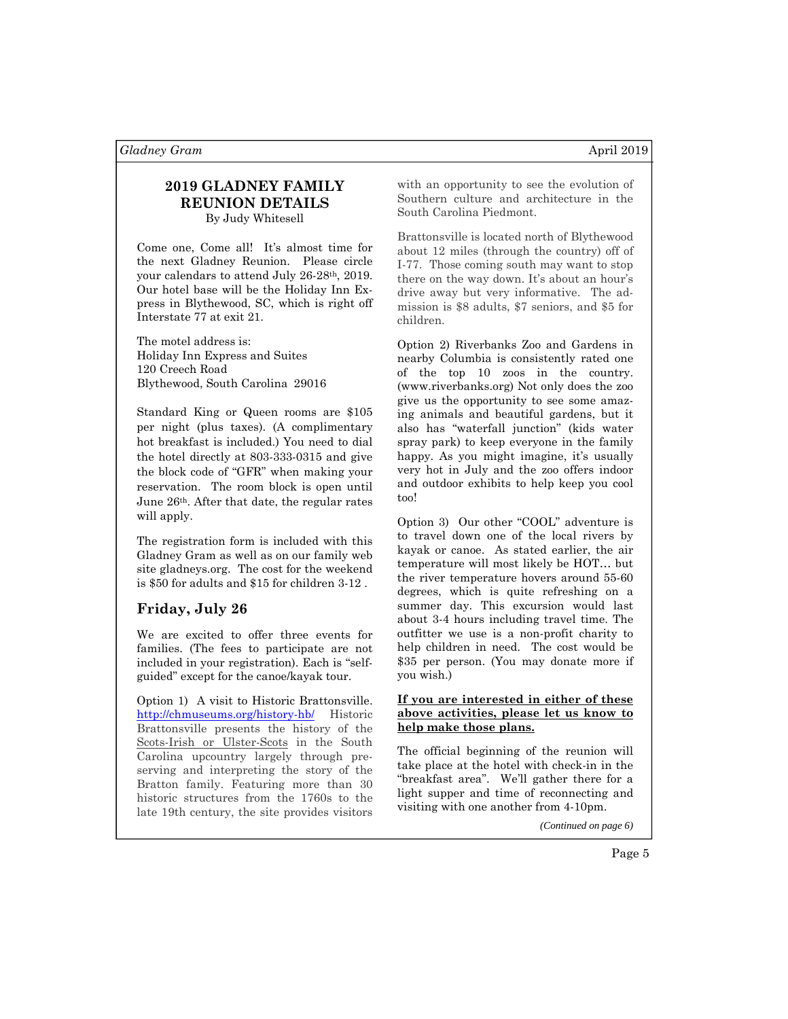### **2019 GLADNEY FAMILY REUNION DETAILS**  By Judy Whitesell

Come one, Come all! It's almost time for the next Gladney Reunion. Please circle your calendars to attend July 26-28th, 2019. Our hotel base will be the Holiday Inn Express in Blythewood, SC, which is right off Interstate 77 at exit 21.

The motel address is: Holiday Inn Express and Suites 120 Creech Road Blythewood, South Carolina 29016

Standard King or Queen rooms are \$105 per night (plus taxes). (A complimentary hot breakfast is included.) You need to dial the hotel directly at 803-333-0315 and give the block code of "GFR" when making your reservation. The room block is open until June 26th. After that date, the regular rates will apply.

The registration form is included with this Gladney Gram as well as on our family web site gladneys.org. The cost for the weekend is \$50 for adults and \$15 for children 3-12 .

### **Friday, July 26**

We are excited to offer three events for families. (The fees to participate are not included in your registration). Each is "selfguided" except for the canoe/kayak tour.

Option 1) A visit to Historic Brattonsville. http://chmuseums.org/history-hb/ Historic Brattonsville presents the history of the Scots-Irish or Ulster-Scots in the South Carolina upcountry largely through preserving and interpreting the story of the Bratton family. Featuring more than 30 historic structures from the 1760s to the late 19th century, the site provides visitors

with an opportunity to see the evolution of Southern culture and architecture in the South Carolina Piedmont.

Brattonsville is located north of Blythewood about 12 miles (through the country) off of I-77. Those coming south may want to stop there on the way down. It's about an hour's drive away but very informative. The admission is \$8 adults, \$7 seniors, and \$5 for children.

Option 2) Riverbanks Zoo and Gardens in nearby Columbia is consistently rated one of the top 10 zoos in the country. (www.riverbanks.org) Not only does the zoo give us the opportunity to see some amazing animals and beautiful gardens, but it also has "waterfall junction" (kids water spray park) to keep everyone in the family happy. As you might imagine, it's usually very hot in July and the zoo offers indoor and outdoor exhibits to help keep you cool too!

Option 3) Our other "COOL" adventure is to travel down one of the local rivers by kayak or canoe. As stated earlier, the air temperature will most likely be HOT… but the river temperature hovers around 55-60 degrees, which is quite refreshing on a summer day. This excursion would last about 3-4 hours including travel time. The outfitter we use is a non-profit charity to help children in need. The cost would be \$35 per person. (You may donate more if you wish.)

#### **If you are interested in either of these above activities, please let us know to help make those plans.**

The official beginning of the reunion will take place at the hotel with check-in in the "breakfast area". We'll gather there for a light supper and time of reconnecting and visiting with one another from 4-10pm.

*(Continued on page 6)*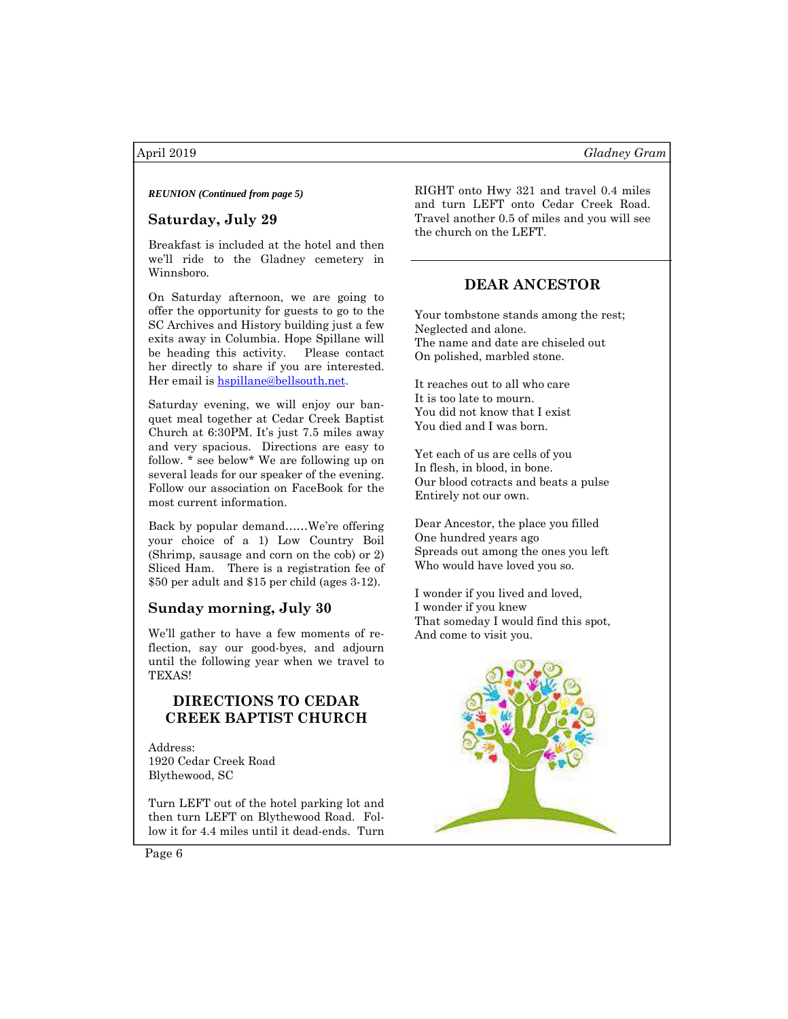# **Saturday, July 29**

Breakfast is included at the hotel and then we'll ride to the Gladney cemetery in Winnsboro.

On Saturday afternoon, we are going to offer the opportunity for guests to go to the SC Archives and History building just a few exits away in Columbia. Hope Spillane will be heading this activity. Please contact her directly to share if you are interested. Her email is hspillane@bellsouth.net.

Saturday evening, we will enjoy our banquet meal together at Cedar Creek Baptist Church at 6:30PM. It's just 7.5 miles away and very spacious. Directions are easy to follow. \* see below\* We are following up on several leads for our speaker of the evening. Follow our association on FaceBook for the most current information.

Back by popular demand……We're offering your choice of a 1) Low Country Boil (Shrimp, sausage and corn on the cob) or 2) Sliced Ham. There is a registration fee of \$50 per adult and \$15 per child (ages 3-12).

### **Sunday morning, July 30**

We'll gather to have a few moments of reflection, say our good-byes, and adjourn until the following year when we travel to TEXAS!

# **DIRECTIONS TO CEDAR CREEK BAPTIST CHURCH**

Address: 1920 Cedar Creek Road Blythewood, SC

Turn LEFT out of the hotel parking lot and then turn LEFT on Blythewood Road. Follow it for 4.4 miles until it dead-ends. Turn

*REUNION (Continued from page 5)* RIGHT onto Hwy 321 and travel 0.4 miles and turn LEFT onto Cedar Creek Road. Travel another 0.5 of miles and you will see the church on the LEFT.

# **DEAR ANCESTOR**

Your tombstone stands among the rest; Neglected and alone. The name and date are chiseled out On polished, marbled stone.

It reaches out to all who care It is too late to mourn. You did not know that I exist You died and I was born.

Yet each of us are cells of you In flesh, in blood, in bone. Our blood cotracts and beats a pulse Entirely not our own.

Dear Ancestor, the place you filled One hundred years ago Spreads out among the ones you left Who would have loved you so.

I wonder if you lived and loved, I wonder if you knew That someday I would find this spot, And come to visit you.



Page 6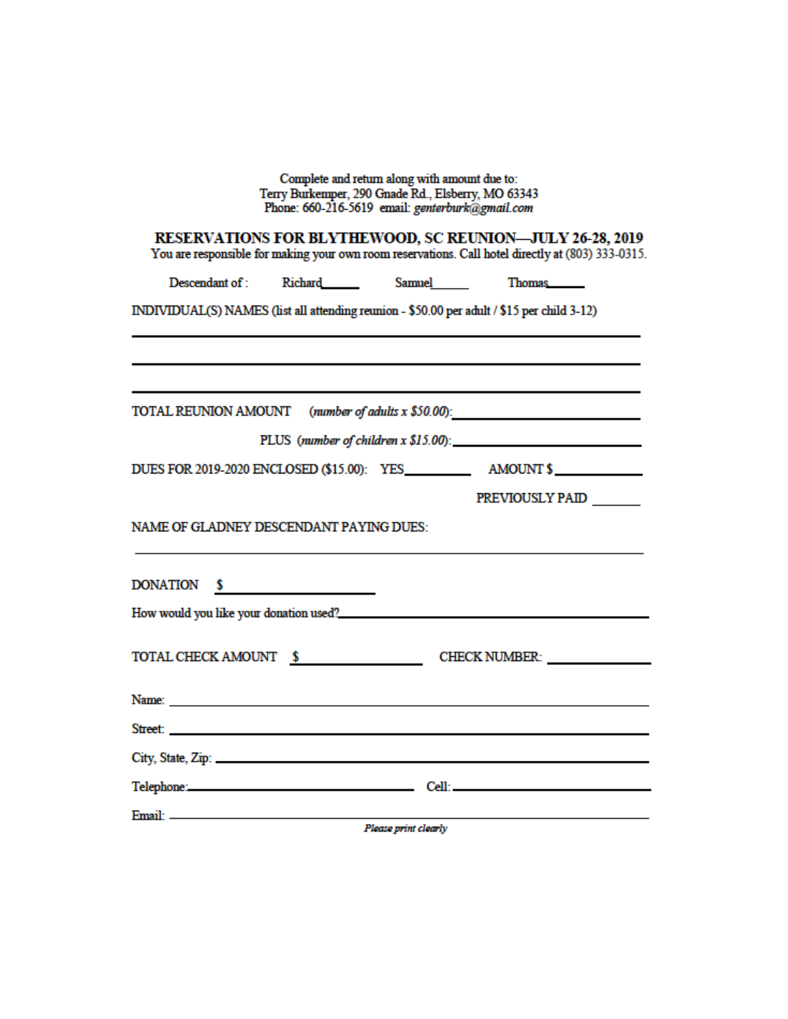| Complete and return along with amount due to:<br>Terry Burkemper, 290 Gnade Rd., Elsberry, MO 63343<br>Phone: 660-216-5619 email: genterburk@gmail.com                                                                               |  |
|--------------------------------------------------------------------------------------------------------------------------------------------------------------------------------------------------------------------------------------|--|
| <b>RESERVATIONS FOR BLYTHEWOOD, SC REUNION-JULY 26-28, 2019</b><br>You are responsible for making your own room reservations. Call hotel directly at (803) 333-0315.                                                                 |  |
| Descendant of : Richard _______ Samuel ______ Thomas                                                                                                                                                                                 |  |
| INDIVIDUAL(S) NAMES (list all attending reunion - \$50.00 per adult / \$15 per child 3-12)                                                                                                                                           |  |
|                                                                                                                                                                                                                                      |  |
|                                                                                                                                                                                                                                      |  |
| TOTAL REUNION AMOUNT (number of adults x \$50.00):                                                                                                                                                                                   |  |
| PLUS (number of children $x$ \$15.00):                                                                                                                                                                                               |  |
|                                                                                                                                                                                                                                      |  |
| PREVIOUSLY PAID                                                                                                                                                                                                                      |  |
| NAME OF GLADNEY DESCENDANT PAYING DUES:                                                                                                                                                                                              |  |
| DONATION \$                                                                                                                                                                                                                          |  |
|                                                                                                                                                                                                                                      |  |
| TOTAL CHECK AMOUNT \$ CHECK NUMBER:                                                                                                                                                                                                  |  |
|                                                                                                                                                                                                                                      |  |
| Street: <u>Andreas and the street of the street of the street of the street of the street of the street of the street of the street of the street of the street of the street of the street of the street of the street of the s</u> |  |
|                                                                                                                                                                                                                                      |  |
| Telephone: Cell: Cell: Cell: Cell: Cell: Cell: Cell: Cell: Cell: Cell: Cell: Cell: Cell: Cell: Cell: Cell: Cell: Cell: Cell: Cell: Cell: Cell: Cell: Cell: Cell: Cell: Cell: Cell: Cell: Cell: Cell: Cell: Cell: Cell: Cell: C       |  |
| Please print clearly                                                                                                                                                                                                                 |  |